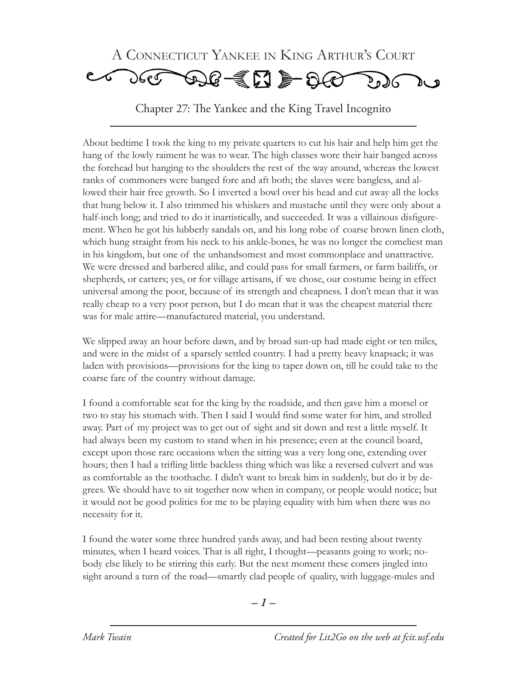

About bedtime I took the king to my private quarters to cut his hair and help him get the hang of the lowly raiment he was to wear. The high classes wore their hair banged across the forehead but hanging to the shoulders the rest of the way around, whereas the lowest ranks of commoners were banged fore and aft both; the slaves were bangless, and allowed their hair free growth. So I inverted a bowl over his head and cut away all the locks that hung below it. I also trimmed his whiskers and mustache until they were only about a half-inch long; and tried to do it inartistically, and succeeded. It was a villainous disfigurement. When he got his lubberly sandals on, and his long robe of coarse brown linen cloth, which hung straight from his neck to his ankle-bones, he was no longer the comeliest man in his kingdom, but one of the unhandsomest and most commonplace and unattractive. We were dressed and barbered alike, and could pass for small farmers, or farm bailiffs, or shepherds, or carters; yes, or for village artisans, if we chose, our costume being in effect universal among the poor, because of its strength and cheapness. I don't mean that it was really cheap to a very poor person, but I do mean that it was the cheapest material there was for male attire—manufactured material, you understand.

We slipped away an hour before dawn, and by broad sun-up had made eight or ten miles, and were in the midst of a sparsely settled country. I had a pretty heavy knapsack; it was laden with provisions—provisions for the king to taper down on, till he could take to the coarse fare of the country without damage.

I found a comfortable seat for the king by the roadside, and then gave him a morsel or two to stay his stomach with. Then I said I would find some water for him, and strolled away. Part of my project was to get out of sight and sit down and rest a little myself. It had always been my custom to stand when in his presence; even at the council board, except upon those rare occasions when the sitting was a very long one, extending over hours; then I had a trifling little backless thing which was like a reversed culvert and was as comfortable as the toothache. I didn't want to break him in suddenly, but do it by degrees. We should have to sit together now when in company, or people would notice; but it would not be good politics for me to be playing equality with him when there was no necessity for it.

I found the water some three hundred yards away, and had been resting about twenty minutes, when I heard voices. That is all right, I thought—peasants going to work; nobody else likely to be stirring this early. But the next moment these comers jingled into sight around a turn of the road—smartly clad people of quality, with luggage-mules and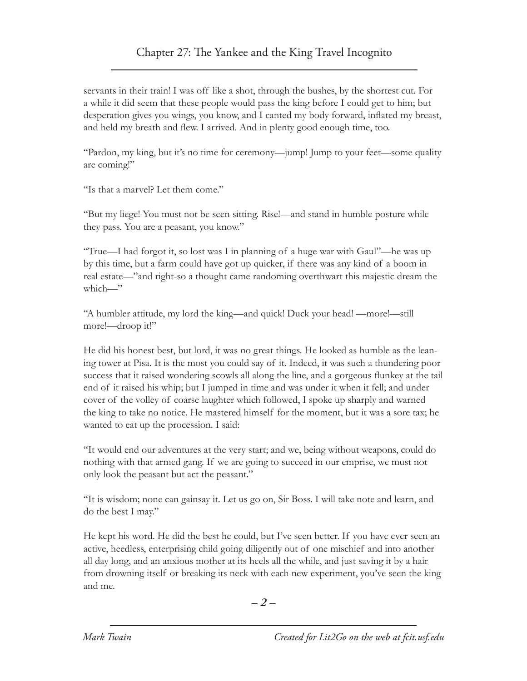servants in their train! I was off like a shot, through the bushes, by the shortest cut. For a while it did seem that these people would pass the king before I could get to him; but desperation gives you wings, you know, and I canted my body forward, inflated my breast, and held my breath and flew. I arrived. And in plenty good enough time, too.

"Pardon, my king, but it's no time for ceremony—jump! Jump to your feet—some quality are coming!"

"Is that a marvel? Let them come."

"But my liege! You must not be seen sitting. Rise!—and stand in humble posture while they pass. You are a peasant, you know."

"True—I had forgot it, so lost was I in planning of a huge war with Gaul"—he was up by this time, but a farm could have got up quicker, if there was any kind of a boom in real estate—"and right-so a thought came randoming overthwart this majestic dream the which—"

"A humbler attitude, my lord the king—and quick! Duck your head! —more!—still more!—droop it!"

He did his honest best, but lord, it was no great things. He looked as humble as the leaning tower at Pisa. It is the most you could say of it. Indeed, it was such a thundering poor success that it raised wondering scowls all along the line, and a gorgeous flunkey at the tail end of it raised his whip; but I jumped in time and was under it when it fell; and under cover of the volley of coarse laughter which followed, I spoke up sharply and warned the king to take no notice. He mastered himself for the moment, but it was a sore tax; he wanted to eat up the procession. I said:

"It would end our adventures at the very start; and we, being without weapons, could do nothing with that armed gang. If we are going to succeed in our emprise, we must not only look the peasant but act the peasant."

"It is wisdom; none can gainsay it. Let us go on, Sir Boss. I will take note and learn, and do the best I may."

He kept his word. He did the best he could, but I've seen better. If you have ever seen an active, heedless, enterprising child going diligently out of one mischief and into another all day long, and an anxious mother at its heels all the while, and just saving it by a hair from drowning itself or breaking its neck with each new experiment, you've seen the king and me.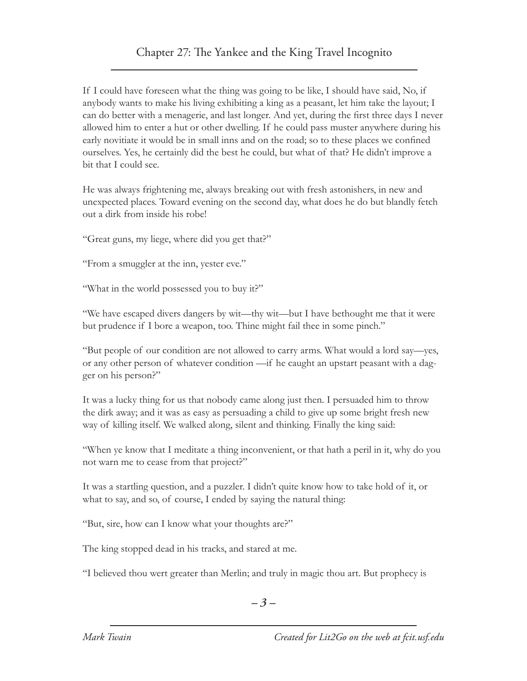If I could have foreseen what the thing was going to be like, I should have said, No, if anybody wants to make his living exhibiting a king as a peasant, let him take the layout; I can do better with a menagerie, and last longer. And yet, during the first three days I never allowed him to enter a hut or other dwelling. If he could pass muster anywhere during his early novitiate it would be in small inns and on the road; so to these places we confined ourselves. Yes, he certainly did the best he could, but what of that? He didn't improve a bit that I could see.

He was always frightening me, always breaking out with fresh astonishers, in new and unexpected places. Toward evening on the second day, what does he do but blandly fetch out a dirk from inside his robe!

"Great guns, my liege, where did you get that?"

"From a smuggler at the inn, yester eve."

"What in the world possessed you to buy it?"

"We have escaped divers dangers by wit—thy wit—but I have bethought me that it were but prudence if I bore a weapon, too. Thine might fail thee in some pinch."

"But people of our condition are not allowed to carry arms. What would a lord say—yes, or any other person of whatever condition —if he caught an upstart peasant with a dagger on his person?"

It was a lucky thing for us that nobody came along just then. I persuaded him to throw the dirk away; and it was as easy as persuading a child to give up some bright fresh new way of killing itself. We walked along, silent and thinking. Finally the king said:

"When ye know that I meditate a thing inconvenient, or that hath a peril in it, why do you not warn me to cease from that project?"

It was a startling question, and a puzzler. I didn't quite know how to take hold of it, or what to say, and so, of course, I ended by saying the natural thing:

"But, sire, how can I know what your thoughts are?"

The king stopped dead in his tracks, and stared at me.

"I believed thou wert greater than Merlin; and truly in magic thou art. But prophecy is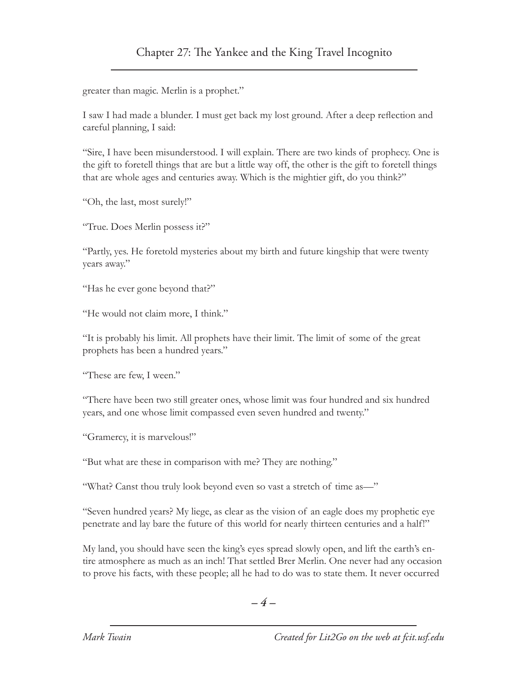greater than magic. Merlin is a prophet."

I saw I had made a blunder. I must get back my lost ground. After a deep reflection and careful planning, I said:

"Sire, I have been misunderstood. I will explain. There are two kinds of prophecy. One is the gift to foretell things that are but a little way off, the other is the gift to foretell things that are whole ages and centuries away. Which is the mightier gift, do you think?"

"Oh, the last, most surely!"

"True. Does Merlin possess it?"

"Partly, yes. He foretold mysteries about my birth and future kingship that were twenty years away."

"Has he ever gone beyond that?"

"He would not claim more, I think."

"It is probably his limit. All prophets have their limit. The limit of some of the great prophets has been a hundred years."

"These are few, I ween."

"There have been two still greater ones, whose limit was four hundred and six hundred years, and one whose limit compassed even seven hundred and twenty."

"Gramercy, it is marvelous!"

"But what are these in comparison with me? They are nothing."

"What? Canst thou truly look beyond even so vast a stretch of time as—"

"Seven hundred years? My liege, as clear as the vision of an eagle does my prophetic eye penetrate and lay bare the future of this world for nearly thirteen centuries and a half!"

My land, you should have seen the king's eyes spread slowly open, and lift the earth's entire atmosphere as much as an inch! That settled Brer Merlin. One never had any occasion to prove his facts, with these people; all he had to do was to state them. It never occurred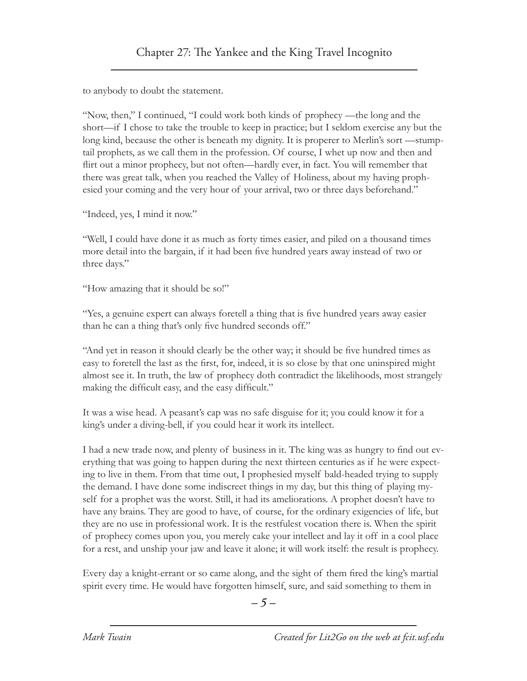to anybody to doubt the statement.

"Now, then," I continued, "I could work both kinds of prophecy —the long and the short—if I chose to take the trouble to keep in practice; but I seldom exercise any but the long kind, because the other is beneath my dignity. It is properer to Merlin's sort —stumptail prophets, as we call them in the profession. Of course, I whet up now and then and flirt out a minor prophecy, but not often—hardly ever, in fact. You will remember that there was great talk, when you reached the Valley of Holiness, about my having prophesied your coming and the very hour of your arrival, two or three days beforehand."

"Indeed, yes, I mind it now."

"Well, I could have done it as much as forty times easier, and piled on a thousand times more detail into the bargain, if it had been five hundred years away instead of two or three days."

"How amazing that it should be so!"

"Yes, a genuine expert can always foretell a thing that is five hundred years away easier than he can a thing that's only five hundred seconds off."

"And yet in reason it should clearly be the other way; it should be five hundred times as easy to foretell the last as the first, for, indeed, it is so close by that one uninspired might almost see it. In truth, the law of prophecy doth contradict the likelihoods, most strangely making the difficult easy, and the easy difficult."

It was a wise head. A peasant's cap was no safe disguise for it; you could know it for a king's under a diving-bell, if you could hear it work its intellect.

I had a new trade now, and plenty of business in it. The king was as hungry to find out everything that was going to happen during the next thirteen centuries as if he were expecting to live in them. From that time out, I prophesied myself bald-headed trying to supply the demand. I have done some indiscreet things in my day, but this thing of playing myself for a prophet was the worst. Still, it had its ameliorations. A prophet doesn't have to have any brains. They are good to have, of course, for the ordinary exigencies of life, but they are no use in professional work. It is the restfulest vocation there is. When the spirit of prophecy comes upon you, you merely cake your intellect and lay it off in a cool place for a rest, and unship your jaw and leave it alone; it will work itself: the result is prophecy.

Every day a knight-errant or so came along, and the sight of them fired the king's martial spirit every time. He would have forgotten himself, sure, and said something to them in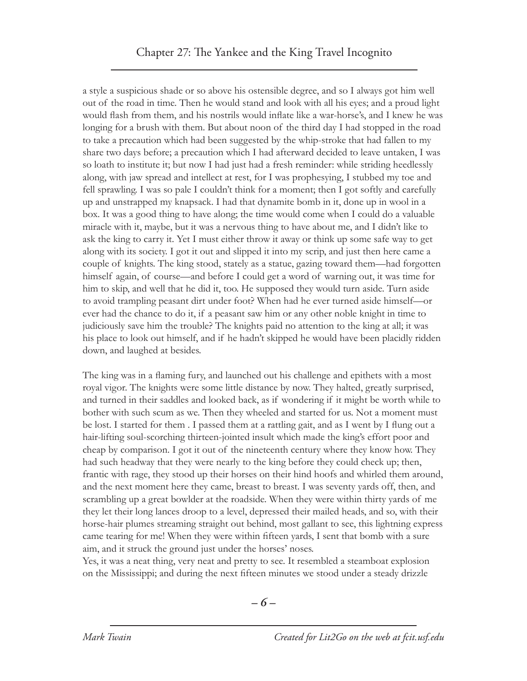a style a suspicious shade or so above his ostensible degree, and so I always got him well out of the road in time. Then he would stand and look with all his eyes; and a proud light would flash from them, and his nostrils would inflate like a war-horse's, and I knew he was longing for a brush with them. But about noon of the third day I had stopped in the road to take a precaution which had been suggested by the whip-stroke that had fallen to my share two days before; a precaution which I had afterward decided to leave untaken, I was so loath to institute it; but now I had just had a fresh reminder: while striding heedlessly along, with jaw spread and intellect at rest, for I was prophesying, I stubbed my toe and fell sprawling. I was so pale I couldn't think for a moment; then I got softly and carefully up and unstrapped my knapsack. I had that dynamite bomb in it, done up in wool in a box. It was a good thing to have along; the time would come when I could do a valuable miracle with it, maybe, but it was a nervous thing to have about me, and I didn't like to ask the king to carry it. Yet I must either throw it away or think up some safe way to get along with its society. I got it out and slipped it into my scrip, and just then here came a couple of knights. The king stood, stately as a statue, gazing toward them—had forgotten himself again, of course—and before I could get a word of warning out, it was time for him to skip, and well that he did it, too. He supposed they would turn aside. Turn aside to avoid trampling peasant dirt under foot? When had he ever turned aside himself—or ever had the chance to do it, if a peasant saw him or any other noble knight in time to judiciously save him the trouble? The knights paid no attention to the king at all; it was his place to look out himself, and if he hadn't skipped he would have been placidly ridden down, and laughed at besides.

The king was in a flaming fury, and launched out his challenge and epithets with a most royal vigor. The knights were some little distance by now. They halted, greatly surprised, and turned in their saddles and looked back, as if wondering if it might be worth while to bother with such scum as we. Then they wheeled and started for us. Not a moment must be lost. I started for them . I passed them at a rattling gait, and as I went by I flung out a hair-lifting soul-scorching thirteen-jointed insult which made the king's effort poor and cheap by comparison. I got it out of the nineteenth century where they know how. They had such headway that they were nearly to the king before they could check up; then, frantic with rage, they stood up their horses on their hind hoofs and whirled them around, and the next moment here they came, breast to breast. I was seventy yards off, then, and scrambling up a great bowlder at the roadside. When they were within thirty yards of me they let their long lances droop to a level, depressed their mailed heads, and so, with their horse-hair plumes streaming straight out behind, most gallant to see, this lightning express came tearing for me! When they were within fifteen yards, I sent that bomb with a sure aim, and it struck the ground just under the horses' noses.

Yes, it was a neat thing, very neat and pretty to see. It resembled a steamboat explosion on the Mississippi; and during the next fifteen minutes we stood under a steady drizzle